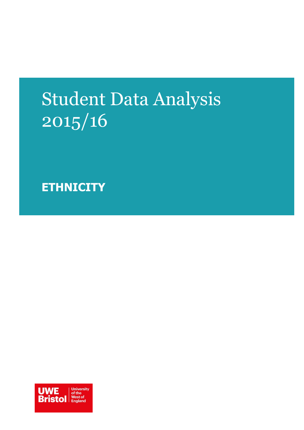# Student Data Analysis 2015/16

**ETHNICITY**

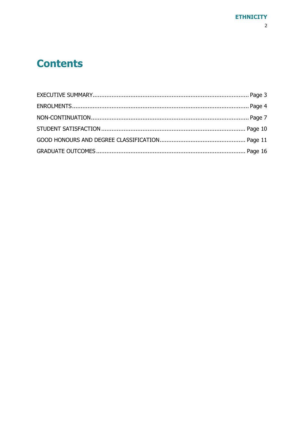## **Contents**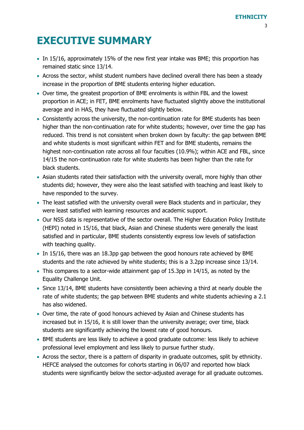## <span id="page-2-0"></span>**EXECUTIVE SUMMARY**

- In 15/16, approximately 15% of the new first year intake was BME; this proportion has remained static since 13/14.
- Across the sector, whilst student numbers have declined overall there has been a steady increase in the proportion of BME students entering higher education.
- Over time, the greatest proportion of BME enrolments is within FBL and the lowest proportion in ACE; in FET, BME enrolments have fluctuated slightly above the institutional average and in HAS, they have fluctuated slightly below.
- Consistently across the university, the non-continuation rate for BME students has been higher than the non-continuation rate for white students; however, over time the gap has reduced. This trend is not consistent when broken down by faculty: the gap between BME and white students is most significant within FET and for BME students, remains the highest non-continuation rate across all four faculties (10.9%); within ACE and FBL, since 14/15 the non-continuation rate for white students has been higher than the rate for black students.
- Asian students rated their satisfaction with the university overall, more highly than other students did; however, they were also the least satisfied with teaching and least likely to have responded to the survey.
- The least satisfied with the university overall were Black students and in particular, they were least satisfied with learning resources and academic support.
- Our NSS data is representative of the sector overall. The Higher Education Policy Institute (HEPI) noted in 15/16, that black, Asian and Chinese students were generally the least satisfied and in particular, BME students consistently express low levels of satisfaction with teaching quality.
- In 15/16, there was an 18.3pp gap between the good honours rate achieved by BME students and the rate achieved by white students; this is a 3.2pp increase since 13/14.
- This compares to a sector-wide attainment gap of 15.3pp in 14/15, as noted by the Equality Challenge Unit.
- Since 13/14, BME students have consistently been achieving a third at nearly double the rate of white students; the gap between BME students and white students achieving a 2.1 has also widened.
- Over time, the rate of good honours achieved by Asian and Chinese students has increased but in 15/16, it is still lower than the university average; over time, black students are significantly achieving the lowest rate of good honours.
- BME students are less likely to achieve a good graduate outcome: less likely to achieve professional level employment and less likely to pursue further study.
- Across the sector, there is a pattern of disparity in graduate outcomes, split by ethnicity. HEFCE analysed the outcomes for cohorts starting in 06/07 and reported how black students were significantly below the sector-adjusted average for all graduate outcomes.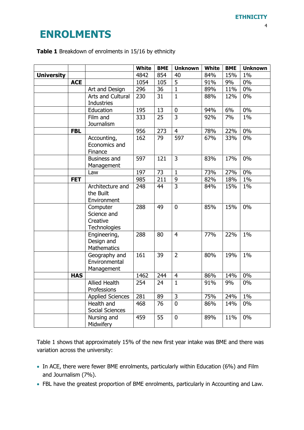### <span id="page-3-0"></span>**ENROLMENTS**

#### **Table 1** Breakdown of enrolments in 15/16 by ethnicity

|                   |            |                              | <b>White</b> | <b>BME</b> | <b>Unknown</b> | <b>White</b> | <b>BME</b> | <b>Unknown</b> |
|-------------------|------------|------------------------------|--------------|------------|----------------|--------------|------------|----------------|
| <b>University</b> |            |                              | 4842         | 854        | 40             | 84%          | 15%        | 1%             |
|                   | <b>ACE</b> |                              | 1054         | 105        | 5              | 91%          | 9%         | $0\%$          |
|                   |            | Art and Design               | 296          | 36         | $\mathbf{1}$   | 89%          | 11%        | $0\%$          |
|                   |            | Arts and Cultural            | 230          | 31         | $\mathbf{1}$   | 88%          | 12%        | $0\%$          |
|                   |            | <b>Industries</b>            |              |            |                |              |            |                |
|                   |            | Education                    | 195          | 13         | $\pmb{0}$      | 94%          | 6%         | 0%             |
|                   |            | Film and                     | 333          | 25         | 3              | 92%          | 7%         | $1\%$          |
|                   |            | Journalism                   |              |            |                |              |            |                |
|                   | <b>FBL</b> |                              | 956          | 273        | $\overline{4}$ | 78%          | 22%        | 0%             |
|                   |            | Accounting,                  | 162          | 79         | 597            | 67%          | 33%        | 0%             |
|                   |            | Economics and                |              |            |                |              |            |                |
|                   |            | Finance                      |              |            |                |              |            |                |
|                   |            | <b>Business and</b>          | 597          | 121        | 3              | 83%          | 17%        | 0%             |
|                   |            | Management                   |              |            |                |              |            |                |
|                   |            | Law                          | 197          | 73         | $\mathbf{1}$   | 73%          | 27%        | 0%             |
|                   | <b>FET</b> |                              | 985          | 211        | 9              | 82%          | 18%        | 1%             |
|                   |            | Architecture and             | 248          | 44         | $\overline{3}$ | 84%          | 15%        | $1\%$          |
|                   |            | the Built                    |              |            |                |              |            |                |
|                   |            | Environment                  |              |            |                |              |            |                |
|                   |            | Computer                     | 288          | 49         | $\overline{0}$ | 85%          | 15%        | 0%             |
|                   |            | Science and                  |              |            |                |              |            |                |
|                   |            | Creative                     |              |            |                |              |            |                |
|                   |            | Technologies<br>Engineering, | 288          | 80         | $\overline{4}$ | 77%          | 22%        | $1\%$          |
|                   |            | Design and                   |              |            |                |              |            |                |
|                   |            | Mathematics                  |              |            |                |              |            |                |
|                   |            | Geography and                | 161          | 39         | $\overline{2}$ | 80%          | 19%        | $1\%$          |
|                   |            | Environmental                |              |            |                |              |            |                |
|                   |            | Management                   |              |            |                |              |            |                |
|                   | <b>HAS</b> |                              | 1462         | 244        | $\overline{4}$ | 86%          | 14%        | $0\%$          |
|                   |            | <b>Allied Health</b>         | 254          | 24         | $\mathbf{1}$   | 91%          | 9%         | 0%             |
|                   |            | Professions                  |              |            |                |              |            |                |
|                   |            | <b>Applied Sciences</b>      | 281          | 89         | 3              | 75%          | 24%        | $1\%$          |
|                   |            | Health and                   | 468          | 76         | $\overline{0}$ | 86%          | 14%        | 0%             |
|                   |            | Social Sciences              |              |            |                |              |            |                |
|                   |            | Nursing and                  | 459          | 55         | $\overline{0}$ | 89%          | 11%        | 0%             |
|                   |            | Midwifery                    |              |            |                |              |            |                |

Table 1 shows that approximately 15% of the new first year intake was BME and there was variation across the university:

- In ACE, there were fewer BME enrolments, particularly within Education (6%) and Film and Journalism (7%).
- FBL have the greatest proportion of BME enrolments, particularly in Accounting and Law.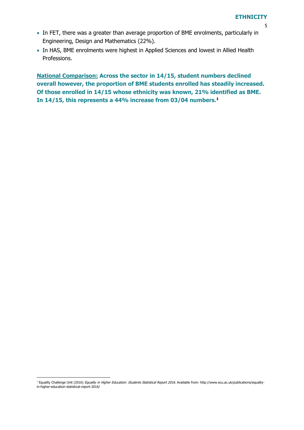- 5
- In FET, there was a greater than average proportion of BME enrolments, particularly in Engineering, Design and Mathematics (22%).
- In HAS, BME enrolments were highest in Applied Sciences and lowest in Allied Health Professions.

**National Comparison: Across the sector in 14/15, student numbers declined overall however, the proportion of BME students enrolled has steadily increased. Of those enrolled in 14/15 whose ethnicity was known, 21% identified as BME. In 14/15, this represents a 44% increase from 03/04 numbers.<sup>1</sup>**

<sup>-</sup><sup>1</sup> Equality Challenge Unit (2016) Equality in Higher Education: Students Statistical Report 2016. Available from: http://www.ecu.ac.uk/publications/equalityin-higher-education-statistical-report-2016/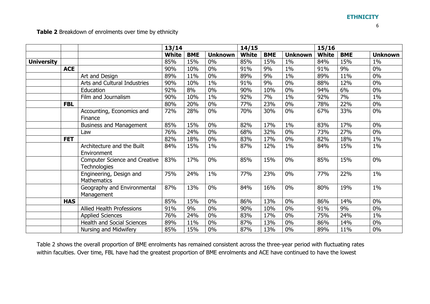6

**Table 2** Breakdown of enrolments over time by ethnicity

|                   |            |                                                             | 13/14        |            |                | 14/15        |            |                | 15/16        |            |                |
|-------------------|------------|-------------------------------------------------------------|--------------|------------|----------------|--------------|------------|----------------|--------------|------------|----------------|
|                   |            |                                                             | <b>White</b> | <b>BME</b> | <b>Unknown</b> | <b>White</b> | <b>BME</b> | <b>Unknown</b> | <b>White</b> | <b>BME</b> | <b>Unknown</b> |
| <b>University</b> |            |                                                             | 85%          | 15%        | 0%             | 85%          | 15%        | $1\%$          | 84%          | 15%        | 1%             |
|                   | <b>ACE</b> |                                                             | 90%          | 10%        | $0\%$          | 91%          | 9%         | $1\%$          | 91%          | 9%         | $0\%$          |
|                   |            | Art and Design                                              | 89%          | 11%        | $0\%$          | 89%          | 9%         | $1\%$          | 89%          | 11%        | $0\%$          |
|                   |            | Arts and Cultural Industries                                | 90%          | 10%        | 1%             | 91%          | 9%         | $0\%$          | 88%          | 12%        | $0\%$          |
|                   |            | Education                                                   | 92%          | 8%         | $0\%$          | 90%          | 10%        | $0\%$          | 94%          | 6%         | 0%             |
|                   |            | Film and Journalism                                         | 90%          | 10%        | 1%             | 92%          | 7%         | $1\%$          | 92%          | 7%         | 1%             |
|                   | <b>FBL</b> |                                                             | 80%          | 20%        | $0\%$          | 77%          | 23%        | $0\%$          | 78%          | 22%        | $0\%$          |
|                   |            | Accounting, Economics and<br>Finance                        | 72%          | 28%        | $0\%$          | 70%          | 30%        | $0\%$          | 67%          | 33%        | $0\%$          |
|                   |            | <b>Business and Management</b>                              | 85%          | 15%        | $0\%$          | 82%          | 17%        | $1\%$          | 83%          | 17%        | $0\%$          |
|                   |            | Law                                                         | 76%          | 24%        | $0\%$          | 68%          | 32%        | $0\%$          | 73%          | 27%        | $0\%$          |
|                   | <b>FET</b> |                                                             | 82%          | 18%        | $0\%$          | 83%          | 17%        | $0\%$          | 82%          | 18%        | 1%             |
|                   |            | Architecture and the Built<br>Environment                   | 84%          | 15%        | $1\%$          | 87%          | 12%        | $1\%$          | 84%          | 15%        | $1\%$          |
|                   |            | <b>Computer Science and Creative</b><br><b>Technologies</b> | 83%          | 17%        | $0\%$          | 85%          | 15%        | $0\%$          | 85%          | 15%        | $0\%$          |
|                   |            | Engineering, Design and<br>Mathematics                      | 75%          | 24%        | $1\%$          | 77%          | 23%        | $0\%$          | 77%          | 22%        | 1%             |
|                   |            | Geography and Environmental<br>Management                   | 87%          | 13%        | $0\%$          | 84%          | 16%        | $0\%$          | 80%          | 19%        | 1%             |
|                   | <b>HAS</b> |                                                             | 85%          | 15%        | $0\%$          | 86%          | 13%        | $0\%$          | 86%          | 14%        | $0\%$          |
|                   |            | <b>Allied Health Professions</b>                            | 91%          | 9%         | $0\%$          | 90%          | 10%        | $0\%$          | 91%          | 9%         | $0\%$          |
|                   |            | <b>Applied Sciences</b>                                     | 76%          | 24%        | $0\%$          | 83%          | 17%        | $0\%$          | 75%          | 24%        | 1%             |
|                   |            | Health and Social Sciences                                  | 89%          | 11%        | $0\%$          | 87%          | 13%        | $0\%$          | 86%          | 14%        | 0%             |
|                   |            | Nursing and Midwifery                                       | 85%          | 15%        | $0\%$          | 87%          | 13%        | $0\%$          | 89%          | 11%        | $0\%$          |

Table 2 shows the overall proportion of BME enrolments has remained consistent across the three-year period with fluctuating rates within faculties. Over time, FBL have had the greatest proportion of BME enrolments and ACE have continued to have the lowest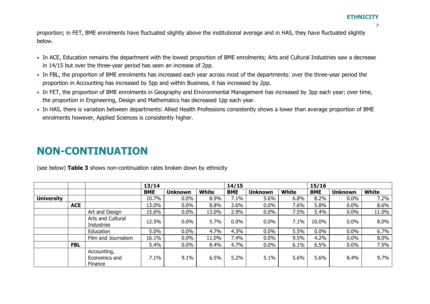7

proportion; in FET, BME enrolments have fluctuated slightly above the institutional average and in HAS, they have fluctuated slightly below.

- In ACE, Education remains the department with the lowest proportion of BME enrolments; Arts and Cultural Industries saw a decrease in 14/15 but over the three-year period has seen an increase of 2pp.
- In FBL, the proportion of BME enrolments has increased each year across most of the departments: over the three-year period the proportion in Accounting has increased by 5pp and within Business, it has increased by 2pp.
- In FET, the proportion of BME enrolments in Geography and Environmental Management has increased by 3pp each year; over time, the proportion in Engineering, Design and Mathematics has decreased 1pp each year.
- In HAS, there is variation between departments: Allied Health Professions consistently shows a lower than average proportion of BME enrolments however, Applied Sciences is consistently higher.

### **NON-CONTINUATION**

(see below) **Table 3** shows non-continuation rates broken down by ethnicity

<span id="page-6-0"></span>

|                   |            |                                         | 13/14      |                |              | 14/15      |                |              | 15/16      |                |              |  |
|-------------------|------------|-----------------------------------------|------------|----------------|--------------|------------|----------------|--------------|------------|----------------|--------------|--|
|                   |            |                                         | <b>BME</b> | <b>Unknown</b> | <b>White</b> | <b>BME</b> | <b>Unknown</b> | <b>White</b> | <b>BME</b> | <b>Unknown</b> | <b>White</b> |  |
| <b>University</b> |            |                                         | 10.7%      | $0.0\%$        | 8.9%         | 7.1%       | 5.6%           | 6.8%         | 8.2%       | $0.0\%$        | 7.2%         |  |
|                   | <b>ACE</b> |                                         | 13.0%      | $0.0\%$        | 8.8%         | 3.6%       | $0.0\%$        | 7.6%         | 5.8%       | $0.0\%$        | 8.6%         |  |
|                   |            | Art and Design                          | 15.6%      | $0.0\%$        | 13.0%        | 2.9%       | $0.0\%$        | 7.5%         | 5.4%       | $0.0\%$        | 11.0%        |  |
|                   |            | Arts and Cultural<br><b>Industries</b>  | 12.5%      | $0.0\%$        | 5.7%         | 0.0%       | 0.0%           | 7.1%         | 10.0%      | $0.0\%$        | 8.0%         |  |
|                   |            | Education                               | 5.0%       | $0.0\%$        | 4.7%         | 4.3%       | $0.0\%$        | 5.5%         | $0.0\%$    | $0.0\%$        | 6.7%         |  |
|                   |            | Film and Journalism                     | 16.1%      | $0.0\%$        | 11.0%        | 7.4%       | $0.0\%$        | 9.5%         | 4.2%       | $0.0\%$        | 8.0%         |  |
|                   | <b>FBL</b> |                                         | 5.4%       | $0.0\%$        | 8.4%         | 4.7%       | $0.0\%$        | 6.1%         | 6.5%       | $0.0\%$        | 7.5%         |  |
|                   |            | Accounting,<br>Economics and<br>Finance | 7.1%       | 9.1%           | 6.5%         | 5.2%       | 5.1%           | 5.6%         | 5.6%       | 8.4%           | 9.7%         |  |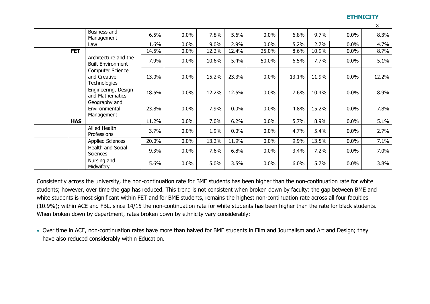$\circ$ 

|            | Business and<br>Management                                     | 6.5%  | $0.0\%$ | 7.8%  | 5.6%  | 0.0%    | 6.8%  | 9.7%  | 0.0%    | 8.3%  |
|------------|----------------------------------------------------------------|-------|---------|-------|-------|---------|-------|-------|---------|-------|
|            | Law                                                            | 1.6%  | $0.0\%$ | 9.0%  | 2.9%  | $0.0\%$ | 5.2%  | 2.7%  | 0.0%    | 4.7%  |
| <b>FET</b> |                                                                | 14.5% | $0.0\%$ | 12.2% | 12.4% | 25.0%   | 8.6%  | 10.9% | $0.0\%$ | 8.7%  |
|            | Architecture and the<br><b>Built Environment</b>               | 7.9%  | $0.0\%$ | 10.6% | 5.4%  | 50.0%   | 6.5%  | 7.7%  | 0.0%    | 5.1%  |
|            | <b>Computer Science</b><br>and Creative<br><b>Technologies</b> | 13.0% | 0.0%    | 15.2% | 23.3% | $0.0\%$ | 13.1% | 11.9% | 0.0%    | 12.2% |
|            | Engineering, Design<br>and Mathematics                         | 18.5% | 0.0%    | 12.2% | 12.5% | $0.0\%$ | 7.6%  | 10.4% | 0.0%    | 8.9%  |
|            | Geography and<br>Environmental<br>Management                   | 23.8% | 0.0%    | 7.9%  | 0.0%  | 0.0%    | 4.8%  | 15.2% | 0.0%    | 7.8%  |
| <b>HAS</b> |                                                                | 11.2% | 0.0%    | 7.0%  | 6.2%  | $0.0\%$ | 5.7%  | 8.9%  | 0.0%    | 5.1%  |
|            | Allied Health<br>Professions                                   | 3.7%  | 0.0%    | 1.9%  | 0.0%  | $0.0\%$ | 4.7%  | 5.4%  | 0.0%    | 2.7%  |
|            | <b>Applied Sciences</b>                                        | 20.0% | $0.0\%$ | 13.2% | 11.9% | $0.0\%$ | 9.9%  | 13.5% | 0.0%    | 7.1%  |
|            | Health and Social<br><b>Sciences</b>                           | 9.3%  | $0.0\%$ | 7.6%  | 6.8%  | $0.0\%$ | 3.4%  | 7.2%  | 0.0%    | 7.0%  |
|            | Nursing and<br>Midwifery                                       | 5.6%  | 0.0%    | 5.0%  | 3.5%  | $0.0\%$ | 6.0%  | 5.7%  | 0.0%    | 3.8%  |

Consistently across the university, the non-continuation rate for BME students has been higher than the non-continuation rate for white students; however, over time the gap has reduced. This trend is not consistent when broken down by faculty: the gap between BME and white students is most significant within FET and for BME students, remains the highest non-continuation rate across all four faculties (10.9%); within ACE and FBL, since 14/15 the non-continuation rate for white students has been higher than the rate for black students. When broken down by department, rates broken down by ethnicity vary considerably:

 Over time in ACE, non-continuation rates have more than halved for BME students in Film and Journalism and Art and Design; they have also reduced considerably within Education.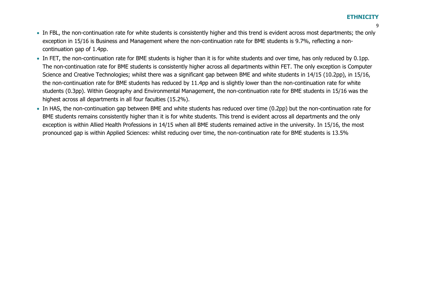- $\mathbf{Q}$
- In FBL, the non-continuation rate for white students is consistently higher and this trend is evident across most departments; the only exception in 15/16 is Business and Management where the non-continuation rate for BME students is 9.7%, reflecting a noncontinuation gap of 1.4pp.
- In FET, the non-continuation rate for BME students is higher than it is for white students and over time, has only reduced by 0.1pp. The non-continuation rate for BME students is consistently higher across all departments within FET. The only exception is Computer Science and Creative Technologies; whilst there was a significant gap between BME and white students in 14/15 (10.2pp), in 15/16, the non-continuation rate for BME students has reduced by 11.4pp and is slightly lower than the non-continuation rate for white students (0.3pp). Within Geography and Environmental Management, the non-continuation rate for BME students in 15/16 was the highest across all departments in all four faculties (15.2%).
- In HAS, the non-continuation gap between BME and white students has reduced over time (0.2pp) but the non-continuation rate for BME students remains consistently higher than it is for white students. This trend is evident across all departments and the only exception is within Allied Health Professions in 14/15 when all BME students remained active in the university. In 15/16, the most pronounced gap is within Applied Sciences: whilst reducing over time, the non-continuation rate for BME students is 13.5%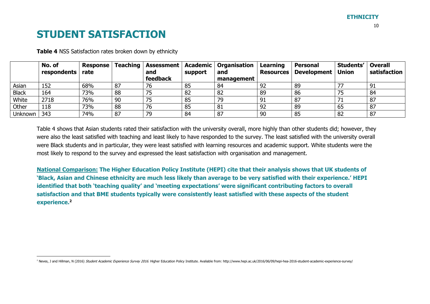### **STUDENT SATISFACTION**

-

|              | No. of<br>respondents | <b>Response</b><br>rate |    | and      | support | Teaching   Assessment   Academic   Organisation<br>and | Learning<br><b>Resources</b> | <b>Personal</b><br>Development   Union | Students' | <b>Overall</b><br>satisfaction |
|--------------|-----------------------|-------------------------|----|----------|---------|--------------------------------------------------------|------------------------------|----------------------------------------|-----------|--------------------------------|
|              |                       |                         |    | feedback |         | management                                             |                              |                                        |           |                                |
| Asian        | 152                   | 68%                     | 87 | 76       | 85      | 84                                                     | 92                           | 89                                     |           | 91                             |
| <b>Black</b> | 164                   | 73%                     | 88 | 75       | 82      | 82                                                     | 89                           | 86                                     |           | 84                             |
| White        | 2718                  | 76%                     | 90 | 75       | 85      | 79                                                     | 91                           | 87                                     |           | 87                             |
| Other        | 118                   | 73%                     | 88 | 76       | 85      | 81                                                     | 92                           | 89                                     | 65        | 87                             |
| Unknown      | 343                   | 74%                     | 87 | 79       | 84      | 87                                                     | 90                           | 85                                     | 82        | 87                             |

**Table 4** NSS Satisfaction rates broken down by ethnicity

Table 4 shows that Asian students rated their satisfaction with the university overall, more highly than other students did; however, they were also the least satisfied with teaching and least likely to have responded to the survey. The least satisfied with the university overall were Black students and in particular, they were least satisfied with learning resources and academic support. White students were the most likely to respond to the survey and expressed the least satisfaction with organisation and management.

<span id="page-9-0"></span>**National Comparison: The Higher Education Policy Institute (HEPI) cite that their analysis shows that UK students of 'Black, Asian and Chinese ethnicity are much less likely than average to be very satisfied with their experience.' HEPI identified that both 'teaching quality' and 'meeting expectations' were significant contributing factors to overall satisfaction and that BME students typically were consistently least satisfied with these aspects of the student experience.<sup>2</sup>**

<sup>&</sup>lt;sup>2</sup> Neves, J and Hillman, N (2016) Student Academic Experience Survey 2016. Higher Education Policy Institute. Avaliable from: http://www.hepi.ac.uk/2016/06/09/hepi-hea-2016-student-academic-experience-survey/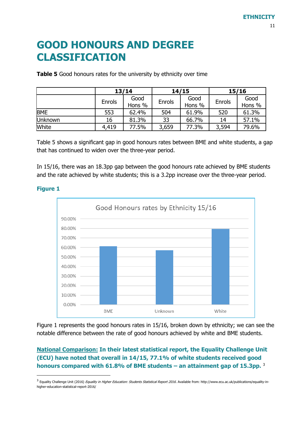### <span id="page-10-0"></span>**GOOD HONOURS AND DEGREE CLASSIFICATION**

**Table 5** Good honours rates for the university by ethnicity over time

|            |        | 13/14          |        | 14/15          | 15/16  |                |  |
|------------|--------|----------------|--------|----------------|--------|----------------|--|
|            | Enrols | Good<br>Hons % | Enrols | Good<br>Hons % | Enrols | Good<br>Hons % |  |
| <b>BME</b> | 553    | 62.4%          | 504    | 61.9%          | 520    | 61.3%          |  |
| Unknown    | 16     | 81.3%          | 33     | 66.7%          | 14     | 57.1%          |  |
| White      | 4,419  | 77.5%          | 3,659  | 77.3%          | 3,594  | 79.6%          |  |

Table 5 shows a significant gap in good honours rates between BME and white students, a gap that has continued to widen over the three-year period.

In 15/16, there was an 18.3pp gap between the good honours rate achieved by BME students and the rate achieved by white students; this is a 3.2pp increase over the three-year period.



#### **Figure 1**

 $\overline{a}$ 

Figure 1 represents the good honours rates in 15/16, broken down by ethnicity; we can see the notable difference between the rate of good honours achieved by white and BME students.

### **National Comparison: In their latest statistical report, the Equality Challenge Unit (ECU) have noted that overall in 14/15, 77.1% of white students received good honours compared with 61.8% of BME students – an attainment gap of 15.3pp.** <sup>3</sup>

<sup>3</sup> Equality Challenge Unit (2016) *Equality in Higher Education: Students Statistical Report 2016.* Available from: http://www.ecu.ac.uk/publications/equality-inhigher-education-statistical-report-2016/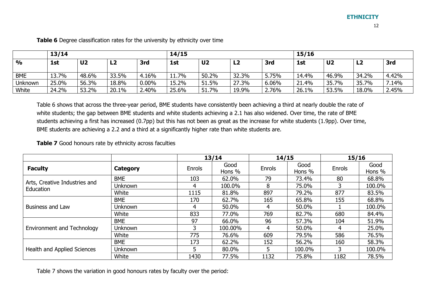12

|               |       |                |       |          |          | 14/15          |                |       |       |                |       |        |  |
|---------------|-------|----------------|-------|----------|----------|----------------|----------------|-------|-------|----------------|-------|--------|--|
|               | 13/14 |                |       |          |          |                | 15/16          |       |       |                |       |        |  |
| $\frac{1}{2}$ | 1st   | U <sub>2</sub> | L2    | 3rd      | 1st      | U <sub>2</sub> | L <sub>2</sub> | 3rd   | 1st   | U <sub>2</sub> | L2    | 3rd    |  |
|               |       |                |       |          |          |                |                |       |       |                |       |        |  |
| <b>BME</b>    | 13.7% | 48.6%          | 33.5% | 4.16%    | $11.7\%$ | 50.2%          | 32.3%          | 5.75% | 14.4% | 46.9%          | 34.2% | 4.42%  |  |
| Unknown       | 25.0% | 56.3%          | 18.8% | $0.00\%$ | 15.2%    | 51.5%          | 27.3%          | 6.06% | 21.4% | 35.7%          | 35.7% | $14\%$ |  |
| White         | 24.2% | 53.2%          | 20.1% | 2.40%    | 25.6%    | 51.7%          | 19.9%          | 2.76% | 26.1% | 53.5%          | 18.0% | 2.45%  |  |

**Table 6** Degree classification rates for the university by ethnicity over time

Table 6 shows that across the three-year period, BME students have consistently been achieving a third at nearly double the rate of white students; the gap between BME students and white students achieving a 2.1 has also widened. Over time, the rate of BME students achieving a first has increased (0.7pp) but this has not been as great as the increase for white students (1.9pp). Over time, BME students are achieving a 2.2 and a third at a significantly higher rate than white students are.

**Table 7** Good honours rate by ethnicity across faculties

|                                            |            |        | 13/14          | 14/15  |                | 15/16  |                |
|--------------------------------------------|------------|--------|----------------|--------|----------------|--------|----------------|
| <b>Faculty</b>                             | Category   | Enrols | Good<br>Hons % | Enrols | Good<br>Hons % | Enrols | Good<br>Hons % |
|                                            | <b>BME</b> | 103    | 62.0%          | 79     | 73.4%          | 80     | 68.8%          |
| Arts, Creative Industries and<br>Education | Unknown    | 4      | 100.0%         | 8      | 75.0%          | 3      | 100.0%         |
|                                            | White      | 1115   | 81.8%          | 897    | 79.2%          | 877    | 83.5%          |
|                                            | <b>BME</b> | 170    | 62.7%          | 165    | 65.8%          | 155    | 68.8%          |
| <b>Business and Law</b>                    | Unknown    | 4      | 50.0%          | 4      | 50.0%          |        | 100.0%         |
|                                            | White      | 833    | 77.0%          | 769    | 82.7%          | 680    | 84.4%          |
|                                            | <b>BME</b> | 97     | 66.0%          | 96     | 57.3%          | 104    | 51.9%          |
| <b>Environment and Technology</b>          | Unknown    |        | 100.00%        | 4      | 50.0%          | 4      | 25.0%          |
|                                            | White      | 775    | 76.6%          | 609    | 79.5%          | 586    | 76.5%          |
|                                            | <b>BME</b> | 173    | 62.2%          | 152    | 56.2%          | 160    | 58.3%          |
| Health and Applied Sciences                | Unknown    | .5     | 80.0%          | 5      | 100.0%         | 3      | 100.0%         |
|                                            | White      | 1430   | 77.5%          | 1132   | 75.8%          | 1182   | 78.5%          |

Table 7 shows the variation in good honours rates by faculty over the period: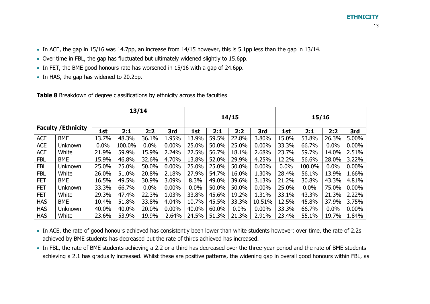- Over time in FBL, the gap has fluctuated but ultimately widened slightly to 15.6pp.
- In FET, the BME good honours rate has worsened in 15/16 with a gap of 24.6pp.
- In HAS, the gap has widened to 20.2pp.

|            |                            |       | 13/14  |         |          |       |       |       |          |       |         |       |          |
|------------|----------------------------|-------|--------|---------|----------|-------|-------|-------|----------|-------|---------|-------|----------|
|            |                            |       |        |         |          | 14/15 |       |       |          | 15/16 |         |       |          |
|            | <b>Faculty / Ethnicity</b> | 1st   | 2:1    | 2:2     | 3rd      | 1st   | 2:1   | 2:2   | 3rd      | 1st   | 2:1     | 2:2   | 3rd      |
| <b>ACE</b> | <b>BME</b>                 | 13.7% | 48.3%  | 36.1%   | 1.95%    | 13.9% | 59.5% | 22.8% | 3.80%    | 15.0% | 53.8%   | 26.3% | 5.00%    |
| <b>ACE</b> | Unknown                    | 0.0%  | 100.0% | 0.0%    | 0.00%    | 25.0% | 50.0% | 25.0% | $0.00\%$ | 33.3% | 66.7%   | 0.0%  | $0.00\%$ |
| <b>ACE</b> | White                      | 21.9% | 59.9%  | 15.9%   | 2.24%    | 22.5% | 56.7% | 18.1% | 2.68%    | 23.7% | 59.7%   | 14.0% | 2.51%    |
| <b>FBL</b> | <b>BME</b>                 | 15.9% | 46.8%  | 32.6%   | 4.70%    | 13.8% | 52.0% | 29.9% | 4.25%    | 12.2% | 56.6%   | 28.0% | 3.22%    |
| <b>FBL</b> | Unknown                    | 25.0% | 25.0%  | 50.0%   | 0.00%    | 25.0% | 25.0% | 50.0% | $0.00\%$ | 0.0%  | 100.0%  | 0.0%  | $0.00\%$ |
| <b>FBL</b> | White                      | 26.0% | 51.0%  | 20.8%   | 2.18%    | 27.9% | 54.7% | 16.0% | 1.30%    | 28.4% | 56.1%   | 13.9% | 1.66%    |
| <b>FET</b> | <b>BME</b>                 | 16.5% | 49.5%  | 30.9%   | 3.09%    | 8.3%  | 49.0% | 39.6% | 3.13%    | 21.2% | 30.8%   | 43.3% | 4.81%    |
| <b>FET</b> | Unknown                    | 33.3% | 66.7%  | $0.0\%$ | $0.00\%$ | 0.0%  | 50.0% | 50.0% | $0.00\%$ | 25.0% | $0.0\%$ | 75.0% | $0.00\%$ |
| <b>FET</b> | White                      | 29.3% | 47.4%  | 22.3%   | 1.03%    | 33.8% | 45.6% | 19.2% | 1.31%    | 33.1% | 43.3%   | 21.3% | 2.22%    |
| <b>HAS</b> | <b>BME</b>                 | 10.4% | 51.8%  | 33.8%   | 4.04%    | 10.7% | 45.5% | 33.3% | 10.51%   | 12.5% | 45.8%   | 37.9% | 3.75%    |
| <b>HAS</b> | Unknown                    | 40.0% | 40.0%  | 20.0%   | $0.00\%$ | 40.0% | 60.0% | 0.0%  | $0.00\%$ | 33.3% | 66.7%   | 0.0%  | $0.00\%$ |
| <b>HAS</b> | White                      | 23.6% | 53.9%  | 19.9%   | 2.64%    | 24.5% | 51.3% | 21.3% | 2.91%    | 23.4% | 55.1%   | 19.7% | 1.84%    |

**Table 8** Breakdown of degree classifications by ethnicity across the faculties

- In ACE, the rate of good honours achieved has consistently been lower than white students however; over time, the rate of 2.2s achieved by BME students has decreased but the rate of thirds achieved has increased.
- In FBL, the rate of BME students achieving a 2.2 or a third has decreased over the three-year period and the rate of BME students achieving a 2.1 has gradually increased. Whilst these are positive patterns, the widening gap in overall good honours within FBL, as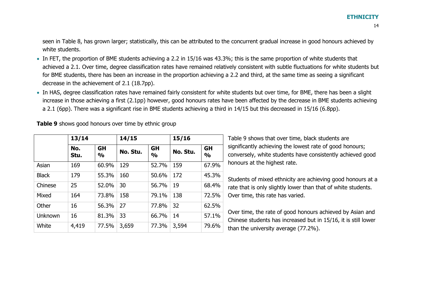seen in Table 8, has grown larger; statistically, this can be attributed to the concurrent gradual increase in good honours achieved by white students.

- In FET, the proportion of BME students achieving a 2.2 in 15/16 was 43.3%; this is the same proportion of white students that achieved a 2.1. Over time, degree classification rates have remained relatively consistent with subtle fluctuations for white students but for BME students, there has been an increase in the proportion achieving a 2.2 and third, at the same time as seeing a significant decrease in the achievement of 2.1 (18.7pp).
- In HAS, degree classification rates have remained fairly consistent for white students but over time, for BME, there has been a slight increase in those achieving a first (2.1pp) however, good honours rates have been affected by the decrease in BME students achieving a 2.1 (6pp). There was a significant rise in BME students achieving a third in 14/15 but this decreased in 15/16 (6.8pp).

**Table 9** shows good honours over time by ethnic group

|              | 13/14       |                            | 14/15    |                            | 15/16    |                            |  |
|--------------|-------------|----------------------------|----------|----------------------------|----------|----------------------------|--|
|              | No.<br>Stu. | <b>GH</b><br>$\frac{0}{0}$ | No. Stu. | <b>GH</b><br>$\frac{0}{0}$ | No. Stu. | <b>GH</b><br>$\frac{0}{0}$ |  |
| Asian        | 169         | 60.9%                      | 129      | 52.7%                      | 159      | 67.9%                      |  |
| <b>Black</b> | 179         | 55.3%                      | 160      | 50.6%                      | 172      | 45.3%                      |  |
| Chinese      | 25          | 52.0%                      | 30       | 56.7%                      | 19       | 68.4%                      |  |
| Mixed        | 164         | 73.8%                      | 158      | 79.1%                      | 138      | 72.5%                      |  |
| Other        | 16          | 56.3%                      | 27       | 77.8%                      | 32       | 62.5%                      |  |
| Unknown      | 16          | 81.3%                      | 33       | 66.7%                      | 14       | 57.1%                      |  |
| White        | 4,419       | 77.5%                      | 3,659    | 77.3%                      | 3,594    | 79.6%                      |  |

Table 9 shows that over time, black students are significantly achieving the lowest rate of good honours; conversely, white students have consistently achieved good honours at the highest rate.

Students of mixed ethnicity are achieving good honours at a rate that is only slightly lower than that of white students. Over time, this rate has varied.

Over time, the rate of good honours achieved by Asian and Chinese students has increased but in 15/16, it is still lower than the university average (77.2%).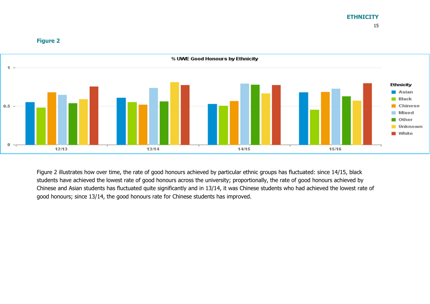

#### **Figure 2**

Figure 2 illustrates how over time, the rate of good honours achieved by particular ethnic groups has fluctuated: since 14/15, black students have achieved the lowest rate of good honours across the university; proportionally, the rate of good honours achieved by Chinese and Asian students has fluctuated quite significantly and in 13/14, it was Chinese students who had achieved the lowest rate of good honours; since 13/14, the good honours rate for Chinese students has improved.